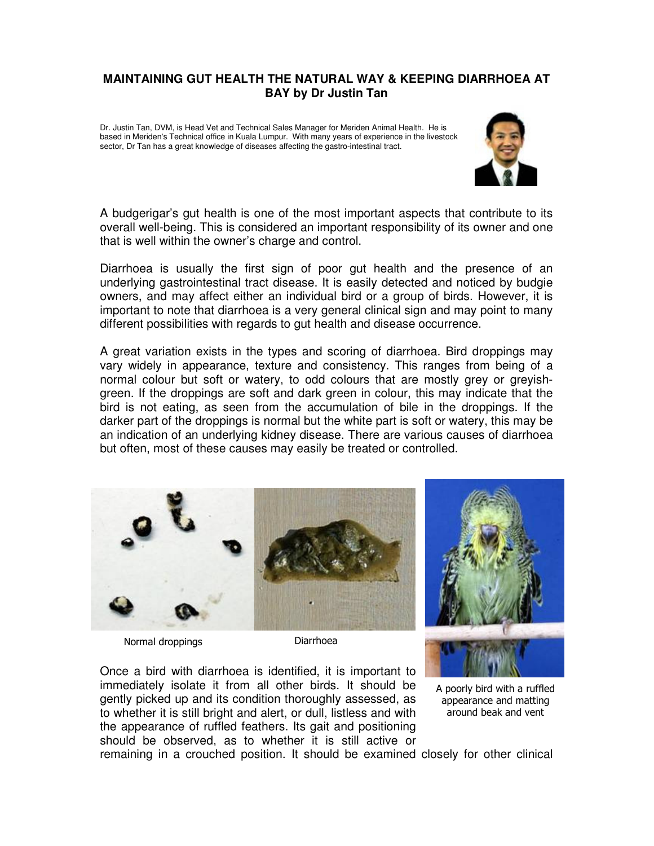## **MAINTAINING GUT HEALTH THE NATURAL WAY & KEEPING DIARRHOEA AT BAY by Dr Justin Tan**

Dr. Justin Tan, DVM, is Head Vet and Technical Sales Manager for Meriden Animal Health. He is based in Meriden's Technical office in Kuala Lumpur. With many years of experience in the livestock sector, Dr Tan has a great knowledge of diseases affecting the gastro-intestinal tract.



A budgerigar's gut health is one of the most important aspects that contribute to its overall well-being. This is considered an important responsibility of its owner and one that is well within the owner's charge and control.

Diarrhoea is usually the first sign of poor gut health and the presence of an underlying gastrointestinal tract disease. It is easily detected and noticed by budgie owners, and may affect either an individual bird or a group of birds. However, it is important to note that diarrhoea is a very general clinical sign and may point to many different possibilities with regards to gut health and disease occurrence.

A great variation exists in the types and scoring of diarrhoea. Bird droppings may vary widely in appearance, texture and consistency. This ranges from being of a normal colour but soft or watery, to odd colours that are mostly grey or greyishgreen. If the droppings are soft and dark green in colour, this may indicate that the bird is not eating, as seen from the accumulation of bile in the droppings. If the darker part of the droppings is normal but the white part is soft or watery, this may be an indication of an underlying kidney disease. There are various causes of diarrhoea but often, most of these causes may easily be treated or controlled.



Normal droppings and the Diarrhoea

Once a bird with diarrhoea is identified, it is important to immediately isolate it from all other birds. It should be gently picked up and its condition thoroughly assessed, as to whether it is still bright and alert, or dull, listless and with the appearance of ruffled feathers. Its gait and positioning should be observed, as to whether it is still active or

A poorly bird with a ruffled appearance and matting around beak and vent

remaining in a crouched position. It should be examined closely for other clinical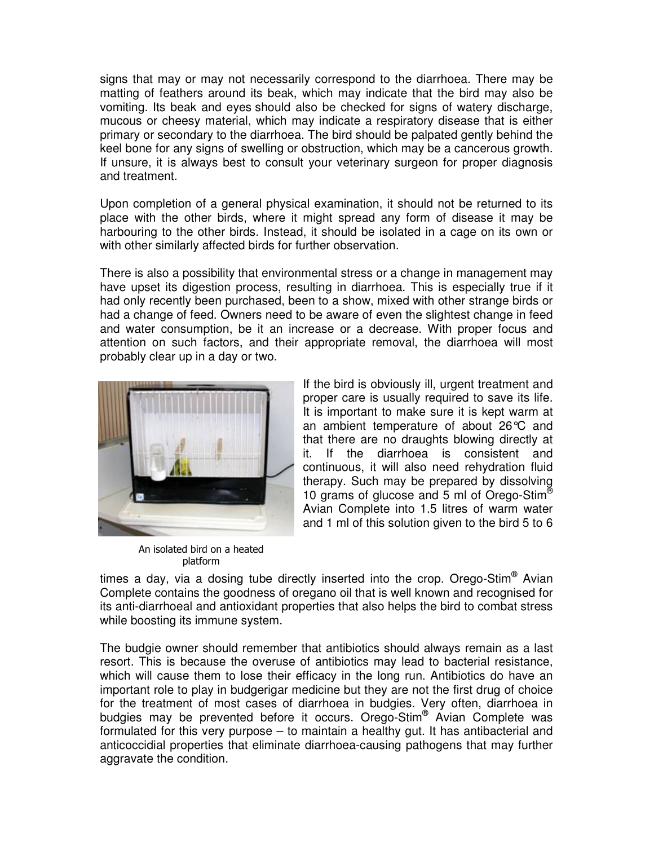signs that may or may not necessarily correspond to the diarrhoea. There may be matting of feathers around its beak, which may indicate that the bird may also be vomiting. Its beak and eyes should also be checked for signs of watery discharge, mucous or cheesy material, which may indicate a respiratory disease that is either primary or secondary to the diarrhoea. The bird should be palpated gently behind the keel bone for any signs of swelling or obstruction, which may be a cancerous growth. If unsure, it is always best to consult your veterinary surgeon for proper diagnosis and treatment.

Upon completion of a general physical examination, it should not be returned to its place with the other birds, where it might spread any form of disease it may be harbouring to the other birds. Instead, it should be isolated in a cage on its own or with other similarly affected birds for further observation.

There is also a possibility that environmental stress or a change in management may have upset its digestion process, resulting in diarrhoea. This is especially true if it had only recently been purchased, been to a show, mixed with other strange birds or had a change of feed. Owners need to be aware of even the slightest change in feed and water consumption, be it an increase or a decrease. With proper focus and attention on such factors, and their appropriate removal, the diarrhoea will most probably clear up in a day or two.



An isolated bird on a heated platform

If the bird is obviously ill, urgent treatment and proper care is usually required to save its life. It is important to make sure it is kept warm at an ambient temperature of about 26°C and that there are no draughts blowing directly at it. If the diarrhoea is consistent and continuous, it will also need rehydration fluid therapy. Such may be prepared by dissolving 10 grams of glucose and 5 ml of Orego-Stim<sup>®</sup> Avian Complete into 1.5 litres of warm water and 1 ml of this solution given to the bird 5 to 6

times a day, via a dosing tube directly inserted into the crop. Orego-Stim® Avian Complete contains the goodness of oregano oil that is well known and recognised for its anti-diarrhoeal and antioxidant properties that also helps the bird to combat stress while boosting its immune system.

The budgie owner should remember that antibiotics should always remain as a last resort. This is because the overuse of antibiotics may lead to bacterial resistance, which will cause them to lose their efficacy in the long run. Antibiotics do have an important role to play in budgerigar medicine but they are not the first drug of choice for the treatment of most cases of diarrhoea in budgies. Very often, diarrhoea in budgies may be prevented before it occurs. Orego-Stim® Avian Complete was formulated for this very purpose – to maintain a healthy gut. It has antibacterial and anticoccidial properties that eliminate diarrhoea-causing pathogens that may further aggravate the condition.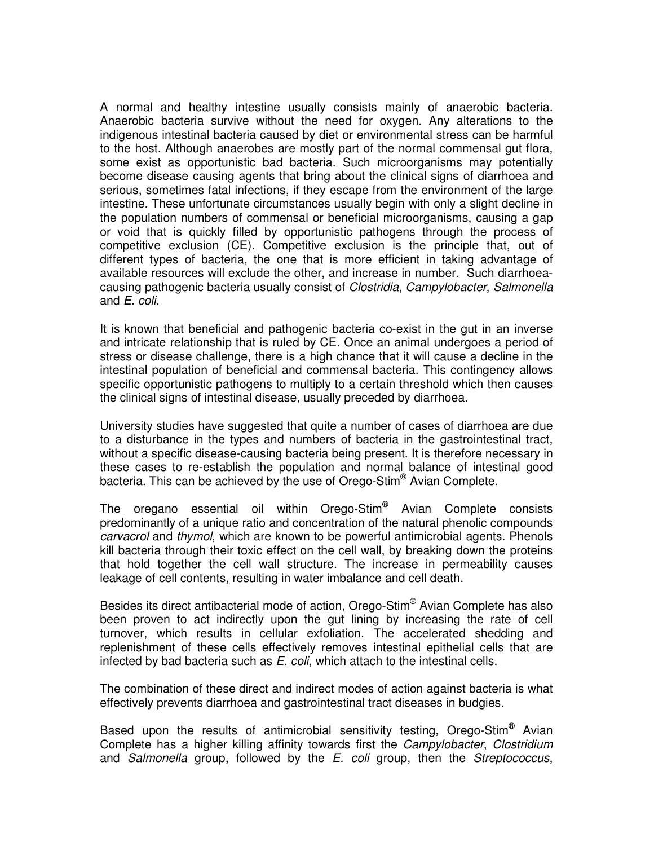A normal and healthy intestine usually consists mainly of anaerobic bacteria. Anaerobic bacteria survive without the need for oxygen. Any alterations to the indigenous intestinal bacteria caused by diet or environmental stress can be harmful to the host. Although anaerobes are mostly part of the normal commensal gut flora, some exist as opportunistic bad bacteria. Such microorganisms may potentially become disease causing agents that bring about the clinical signs of diarrhoea and serious, sometimes fatal infections, if they escape from the environment of the large intestine. These unfortunate circumstances usually begin with only a slight decline in the population numbers of commensal or beneficial microorganisms, causing a gap or void that is quickly filled by opportunistic pathogens through the process of competitive exclusion (CE). Competitive exclusion is the principle that, out of different types of bacteria, the one that is more efficient in taking advantage of available resources will exclude the other, and increase in number. Such diarrhoeacausing pathogenic bacteria usually consist of *Clostridia, Campylobacter, Salmonella* and E. coli.

It is known that beneficial and pathogenic bacteria co-exist in the gut in an inverse and intricate relationship that is ruled by CE. Once an animal undergoes a period of stress or disease challenge, there is a high chance that it will cause a decline in the intestinal population of beneficial and commensal bacteria. This contingency allows specific opportunistic pathogens to multiply to a certain threshold which then causes the clinical signs of intestinal disease, usually preceded by diarrhoea.

University studies have suggested that quite a number of cases of diarrhoea are due to a disturbance in the types and numbers of bacteria in the gastrointestinal tract, without a specific disease-causing bacteria being present. It is therefore necessary in these cases to re-establish the population and normal balance of intestinal good bacteria. This can be achieved by the use of Orego-Stim® Avian Complete.

The oregano essential oil within Orego-Stim® Avian Complete consists predominantly of a unique ratio and concentration of the natural phenolic compounds carvacrol and thymol, which are known to be powerful antimicrobial agents. Phenols kill bacteria through their toxic effect on the cell wall, by breaking down the proteins that hold together the cell wall structure. The increase in permeability causes leakage of cell contents, resulting in water imbalance and cell death.

Besides its direct antibacterial mode of action, Orego-Stim® Avian Complete has also been proven to act indirectly upon the gut lining by increasing the rate of cell turnover, which results in cellular exfoliation. The accelerated shedding and replenishment of these cells effectively removes intestinal epithelial cells that are infected by bad bacteria such as E. coli, which attach to the intestinal cells.

The combination of these direct and indirect modes of action against bacteria is what effectively prevents diarrhoea and gastrointestinal tract diseases in budgies.

Based upon the results of antimicrobial sensitivity testing, Orego-Stim<sup>®</sup> Avian Complete has a higher killing affinity towards first the Campylobacter, Clostridium and Salmonella group, followed by the E. coli group, then the Streptococcus,